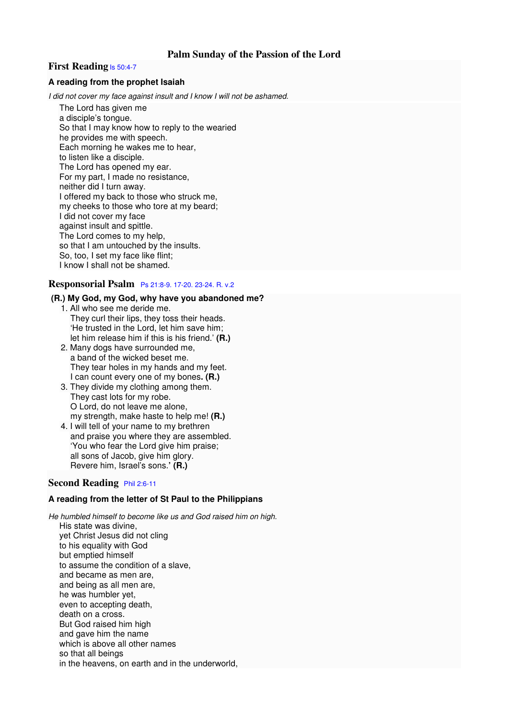## **Palm Sunday of the Passion of the Lord**

## **First Reading** Is 50:4-7

#### **A reading from the prophet Isaiah**

I did not cover my face against insult and I know I will not be ashamed.

The Lord has given me a disciple's tongue. So that I may know how to reply to the wearied he provides me with speech. Each morning he wakes me to hear, to listen like a disciple. The Lord has opened my ear. For my part, I made no resistance, neither did I turn away. I offered my back to those who struck me, my cheeks to those who tore at my beard; I did not cover my face against insult and spittle. The Lord comes to my help, so that I am untouched by the insults. So, too, I set my face like flint; I know I shall not be shamed.

#### **Responsorial Psalm** Ps 21:8-9. 17-20. 23-24. R. v.2

#### **(R.) My God, my God, why have you abandoned me?**

- 1. All who see me deride me. They curl their lips, they toss their heads. 'He trusted in the Lord, let him save him; let him release him if this is his friend.' **(R.)**
- 2. Many dogs have surrounded me, a band of the wicked beset me. They tear holes in my hands and my feet. I can count every one of my bones**. (R.)**
- 3. They divide my clothing among them. They cast lots for my robe. O Lord, do not leave me alone, my strength, make haste to help me! **(R.)**
- 4. I will tell of your name to my brethren and praise you where they are assembled. 'You who fear the Lord give him praise; all sons of Jacob, give him glory. Revere him, Israel's sons.**' (R.)**

## **Second Reading** Phil 2:6-11

#### **A reading from the letter of St Paul to the Philippians**

He humbled himself to become like us and God raised him on high. His state was divine, yet Christ Jesus did not cling to his equality with God but emptied himself to assume the condition of a slave, and became as men are, and being as all men are, he was humbler yet, even to accepting death, death on a cross. But God raised him high and gave him the name which is above all other names so that all beings in the heavens, on earth and in the underworld,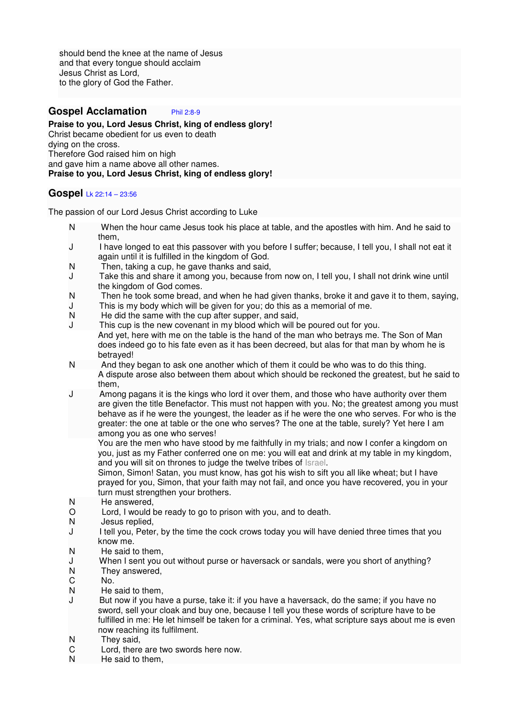should bend the knee at the name of Jesus and that every tongue should acclaim Jesus Christ as Lord, to the glory of God the Father.

# Gospel Acclamation Phil 2:8-9

**Praise to you, Lord Jesus Christ, king of endless glory!**  Christ became obedient for us even to death dying on the cross. Therefore God raised him on high and gave him a name above all other names. **Praise to you, Lord Jesus Christ, king of endless glory!** 

## **Gospel** Lk 22:14 – 23:56

The passion of our Lord Jesus Christ according to Luke

- N When the hour came Jesus took his place at table, and the apostles with him. And he said to them,
- J I have longed to eat this passover with you before I suffer; because, I tell you, I shall not eat it again until it is fulfilled in the kingdom of God.
- N Then, taking a cup, he gave thanks and said,
- J Take this and share it among you, because from now on, I tell you, I shall not drink wine until the kingdom of God comes.
- N Then he took some bread, and when he had given thanks, broke it and gave it to them, saying,
- J This is my body which will be given for you; do this as a memorial of me.<br>N He did the same with the cup after supper and said
- He did the same with the cup after supper, and said,
- J This cup is the new covenant in my blood which will be poured out for you. And yet, here with me on the table is the hand of the man who betrays me. The Son of Man does indeed go to his fate even as it has been decreed, but alas for that man by whom he is betrayed!
- N And they began to ask one another which of them it could be who was to do this thing. A dispute arose also between them about which should be reckoned the greatest, but he said to them,
- J Among pagans it is the kings who lord it over them, and those who have authority over them are given the title Benefactor. This must not happen with you. No; the greatest among you must behave as if he were the youngest, the leader as if he were the one who serves. For who is the greater: the one at table or the one who serves? The one at the table, surely? Yet here I am among you as one who serves!

You are the men who have stood by me faithfully in my trials; and now I confer a kingdom on you, just as my Father conferred one on me: you will eat and drink at my table in my kingdom, and you will sit on thrones to judge the twelve tribes of Israel.

Simon, Simon! Satan, you must know, has got his wish to sift you all like wheat; but I have prayed for you, Simon, that your faith may not fail, and once you have recovered, you in your turn must strengthen your brothers.

- N He answered,
- O Lord, I would be ready to go to prison with you, and to death.
- N Jesus replied,
- J I tell you, Peter, by the time the cock crows today you will have denied three times that you know me.
- N He said to them.
- J When I sent you out without purse or haversack or sandals, were you short of anything?
- N They answered,
- C No.
- N He said to them,
- J But now if you have a purse, take it: if you have a haversack, do the same; if you have no sword, sell your cloak and buy one, because I tell you these words of scripture have to be fulfilled in me: He let himself be taken for a criminal. Yes, what scripture says about me is even now reaching its fulfilment.
- N They said,
- C Lord, there are two swords here now.<br>N He said to them.
- He said to them,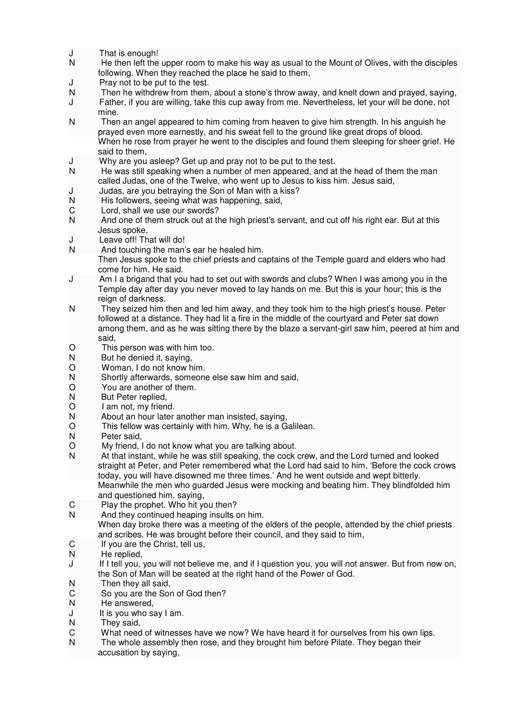- J That is enough!
- N He then left the upper room to make his way as usual to the Mount of Olives, with the disciples following. When they reached the place he said to them,
- J Pray not to be put to the test.
- N Then he withdrew from them, about a stone's throw away, and knelt down and prayed, saying,
- J Father, if you are willing, take this cup away from me. Nevertheless, let your will be done, not mine.
- N Then an angel appeared to him coming from heaven to give him strength. In his anguish he prayed even more earnestly, and his sweat fell to the ground like great drops of blood. When he rose from prayer he went to the disciples and found them sleeping for sheer grief. He said to them,
- J Why are you asleep? Get up and pray not to be put to the test.
- N He was still speaking when a number of men appeared, and at the head of them the man called Judas, one of the Twelve, who went up to Jesus to kiss him. Jesus said,
- J Judas, are you betraying the Son of Man with a kiss?
- N His followers, seeing what was happening, said,
- C Lord, shall we use our swords?
- N And one of them struck out at the high priest's servant, and cut off his right ear. But at this Jesus spoke,
- J Leave off! That will do!
- N And touching the man's ear he healed him. Then Jesus spoke to the chief priests and captains of the Temple guard and elders who had come for him. He said.
- J Am I a brigand that you had to set out with swords and clubs? When I was among you in the Temple day after day you never moved to lay hands on me. But this is your hour; this is the reign of darkness.
- N They seized him then and led him away, and they took him to the high priest's house. Peter followed at a distance. They had lit a fire in the middle of the courtyard and Peter sat down among them, and as he was sitting there by the blaze a servant-girl saw him, peered at him and said,
- O This person was with him too.<br>N But he denied it, saving.
- But he denied it, saying,
- O Woman, I do not know him.
- N Shortly afterwards, someone else saw him and said,  $\Omega$  You are another of them
- You are another of them.
- N But Peter replied,
- O I am not, my friend.<br>N About an hour later
- About an hour later another man insisted, saving,
- O This fellow was certainly with him. Why, he is a Galilean.
- N Peter said,<br>O My friend.
- My friend. I do not know what you are talking about.
- N At that instant, while he was still speaking, the cock crew, and the Lord turned and looked straight at Peter, and Peter remembered what the Lord had said to him, 'Before the cock crows today, you will have disowned me three times.' And he went outside and wept bitterly. Meanwhile the men who guarded Jesus were mocking and beating him. They blindfolded him and questioned him, saying,
- C Play the prophet. Who hit you then?
- N And they continued heaping insults on him. When day broke there was a meeting of the elders of the people, attended by the chief priests and scribes. He was brought before their council, and they said to him,
- C If you are the Christ, tell us,
- N He replied.
- J If I tell you, you will not believe me, and if I question you, you will not answer. But from now on, the Son of Man will be seated at the right hand of the Power of God.
- N Then they all said,<br>C So you are the Sor
- So you are the Son of God then?
- N He answered,
- J It is you who say I am.
- N They said,
- C What need of witnesses have we now? We have heard it for ourselves from his own lips.
- N The whole assembly then rose, and they brought him before Pilate. They began their accusation by saying,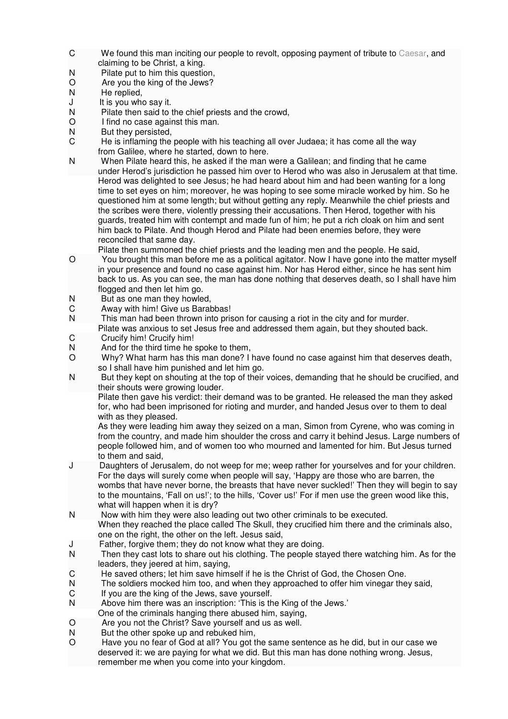- C We found this man inciting our people to revolt, opposing payment of tribute to Caesar, and claiming to be Christ, a king.
- N Pilate put to him this question,
- O Are you the king of the Jews?
- N He replied,
- J It is you who say it.
- N Pilate then said to the chief priests and the crowd,
- O I find no case against this man.
- N But they persisted,
- C He is inflaming the people with his teaching all over Judaea; it has come all the way from Galilee, where he started, down to here.
- N When Pilate heard this, he asked if the man were a Galilean; and finding that he came under Herod's jurisdiction he passed him over to Herod who was also in Jerusalem at that time. Herod was delighted to see Jesus; he had heard about him and had been wanting for a long time to set eyes on him; moreover, he was hoping to see some miracle worked by him. So he questioned him at some length; but without getting any reply. Meanwhile the chief priests and the scribes were there, violently pressing their accusations. Then Herod, together with his guards, treated him with contempt and made fun of him; he put a rich cloak on him and sent him back to Pilate. And though Herod and Pilate had been enemies before, they were reconciled that same day.

Pilate then summoned the chief priests and the leading men and the people. He said,

- O You brought this man before me as a political agitator. Now I have gone into the matter myself in your presence and found no case against him. Nor has Herod either, since he has sent him back to us. As you can see, the man has done nothing that deserves death, so I shall have him flogged and then let him go.
- N But as one man they howled.
- C Away with him! Give us Barabbas!
- N This man had been thrown into prison for causing a riot in the city and for murder.
- Pilate was anxious to set Jesus free and addressed them again, but they shouted back. C Crucify him! Crucify him!
- N And for the third time he spoke to them,
- O Why? What harm has this man done? I have found no case against him that deserves death, so I shall have him punished and let him go.
- N But they kept on shouting at the top of their voices, demanding that he should be crucified, and their shouts were growing louder.

Pilate then gave his verdict: their demand was to be granted. He released the man they asked for, who had been imprisoned for rioting and murder, and handed Jesus over to them to deal with as they pleased.

As they were leading him away they seized on a man, Simon from Cyrene, who was coming in from the country, and made him shoulder the cross and carry it behind Jesus. Large numbers of people followed him, and of women too who mourned and lamented for him. But Jesus turned to them and said,

- J Daughters of Jerusalem, do not weep for me; weep rather for yourselves and for your children. For the days will surely come when people will say, 'Happy are those who are barren, the wombs that have never borne, the breasts that have never suckled!' Then they will begin to say to the mountains, 'Fall on us!'; to the hills, 'Cover us!' For if men use the green wood like this, what will happen when it is dry?
- N Now with him they were also leading out two other criminals to be executed. When they reached the place called The Skull, they crucified him there and the criminals also, one on the right, the other on the left. Jesus said,
- J Father, forgive them; they do not know what they are doing.
- N Then they cast lots to share out his clothing. The people stayed there watching him. As for the leaders, they jeered at him, saying,
- C He saved others; let him save himself if he is the Christ of God, the Chosen One.<br>N The soldiers mocked him too. and when they approached to offer him vinegar the
- N The soldiers mocked him too, and when they approached to offer him vinegar they said,<br>C frou are the king of the Jews, save vourself.
- If you are the king of the Jews, save yourself.
- N Above him there was an inscription: 'This is the King of the Jews.'
- One of the criminals hanging there abused him, saying,
- O Are you not the Christ? Save yourself and us as well.
- N But the other spoke up and rebuked him.
- O Have you no fear of God at all? You got the same sentence as he did, but in our case we deserved it: we are paying for what we did. But this man has done nothing wrong. Jesus, remember me when you come into your kingdom.